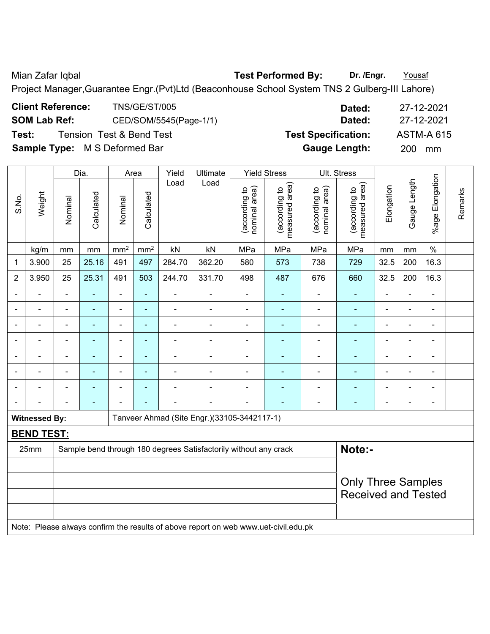Mian Zafar Iqbal **Test Performed By: Dr. /Engr.** Yousaf

Project Manager,Guarantee Engr.(Pvt)Ltd (Beaconhouse School System TNS 2 Gulberg-III Lahore)

| <b>Client Reference:</b>             | <b>TNS/GE/ST/005</b>     | Dated:                     | -27-12-2021       |
|--------------------------------------|--------------------------|----------------------------|-------------------|
| <b>SOM Lab Ref:</b>                  | CED/SOM/5545(Page-1/1)   | Dated:                     | 27-12-2021        |
| Test:                                | Tension Test & Bend Test | <b>Test Specification:</b> | <b>ASTM-A 615</b> |
| <b>Sample Type:</b> M S Deformed Bar |                          | <b>Gauge Length:</b>       | 200.<br>mm        |

|                |                      |                                                                                     | Dia.                                                                       | Area            |                 | Yield                        | Ultimate                                    |                                | <b>Yield Stress</b>             |                                | Ult. Stress                     |                |                |                 |         |
|----------------|----------------------|-------------------------------------------------------------------------------------|----------------------------------------------------------------------------|-----------------|-----------------|------------------------------|---------------------------------------------|--------------------------------|---------------------------------|--------------------------------|---------------------------------|----------------|----------------|-----------------|---------|
| S.No.          | Weight               | Nominal                                                                             | Calculated                                                                 | Nominal         | Calculated      | Load                         | Load                                        | nominal area)<br>(according to | measured area)<br>(according to | (according to<br>nominal area) | measured area)<br>(according to | Elongation     | Gauge Length   | %age Elongation | Remarks |
|                | kg/m                 | mm                                                                                  | mm                                                                         | mm <sup>2</sup> | mm <sup>2</sup> | kN                           | kN                                          | MPa                            | MPa                             | MPa                            | MPa                             | mm             | mm             | $\%$            |         |
| 1              | 3.900                | 25                                                                                  | 25.16                                                                      | 491             | 497             | 284.70                       | 362.20                                      | 580                            | 573                             | 738                            | 729                             | 32.5           | 200            | 16.3            |         |
| $\overline{2}$ | 3.950                | 25                                                                                  | 25.31                                                                      | 491             | 503             | 244.70                       | 331.70                                      | 498                            | 487                             | 676                            | 660                             | 32.5           | 200            | 16.3            |         |
|                |                      | $\blacksquare$                                                                      | ä,                                                                         | $\blacksquare$  | L,              | $\frac{1}{2}$                | $\blacksquare$                              | $\blacksquare$                 |                                 |                                | ä,                              |                | ä,             | ä,              |         |
| ٠              | ä,                   | ä,                                                                                  | ÷                                                                          | ÷,              | $\blacksquare$  | $\qquad \qquad \blacksquare$ | $\overline{a}$                              | $\qquad \qquad \blacksquare$   | $\blacksquare$                  | $\overline{\phantom{a}}$       | ٠                               | $\blacksquare$ | $\blacksquare$ | $\blacksquare$  |         |
|                |                      | $\blacksquare$                                                                      | ÷                                                                          | ۰               | $\blacksquare$  | ÷,                           | $\overline{a}$                              | $\blacksquare$                 | $\blacksquare$                  | $\blacksquare$                 | $\blacksquare$                  | ÷              | ä,             | $\blacksquare$  |         |
|                | $\blacksquare$       | ä,                                                                                  | ä,                                                                         | ÷,              | ä,              | $\blacksquare$               | $\blacksquare$                              | $\blacksquare$                 | $\blacksquare$                  | ÷                              | $\blacksquare$                  | Ē,             | $\blacksquare$ | $\blacksquare$  |         |
|                |                      | Ē,                                                                                  | $\blacksquare$                                                             | $\blacksquare$  | ä,              | -                            | $\blacksquare$                              | ä,                             | $\blacksquare$                  | ÷                              | $\blacksquare$                  | Ē,             | ä,             | ÷,              |         |
|                |                      |                                                                                     | ۰                                                                          |                 |                 | -                            |                                             | -                              |                                 |                                | $\blacksquare$                  |                | ä,             | $\blacksquare$  |         |
|                |                      |                                                                                     |                                                                            |                 |                 | ÷                            |                                             | L,                             | $\blacksquare$                  |                                | $\blacksquare$                  |                |                | $\blacksquare$  |         |
|                |                      |                                                                                     | $\blacksquare$                                                             |                 |                 | $\blacksquare$               | $\blacksquare$                              | Ē,                             | ٠                               | ÷                              | $\blacksquare$                  | $\blacksquare$ | ä,             | $\blacksquare$  |         |
|                | <b>Witnessed By:</b> |                                                                                     |                                                                            |                 |                 |                              | Tanveer Ahmad (Site Engr.)(33105-3442117-1) |                                |                                 |                                |                                 |                |                |                 |         |
|                | <b>BEND TEST:</b>    |                                                                                     |                                                                            |                 |                 |                              |                                             |                                |                                 |                                |                                 |                |                |                 |         |
|                | 25mm                 |                                                                                     | Note:-<br>Sample bend through 180 degrees Satisfactorily without any crack |                 |                 |                              |                                             |                                |                                 |                                |                                 |                |                |                 |         |
|                |                      |                                                                                     |                                                                            |                 |                 |                              |                                             |                                |                                 |                                |                                 |                |                |                 |         |
|                |                      |                                                                                     |                                                                            |                 |                 |                              |                                             |                                |                                 |                                | <b>Only Three Samples</b>       |                |                |                 |         |
|                |                      |                                                                                     |                                                                            |                 |                 |                              |                                             |                                |                                 |                                | <b>Received and Tested</b>      |                |                |                 |         |
|                |                      | Note: Please always confirm the results of above report on web www.uet-civil.edu.pk |                                                                            |                 |                 |                              |                                             |                                |                                 |                                |                                 |                |                |                 |         |
|                |                      |                                                                                     |                                                                            |                 |                 |                              |                                             |                                |                                 |                                |                                 |                |                |                 |         |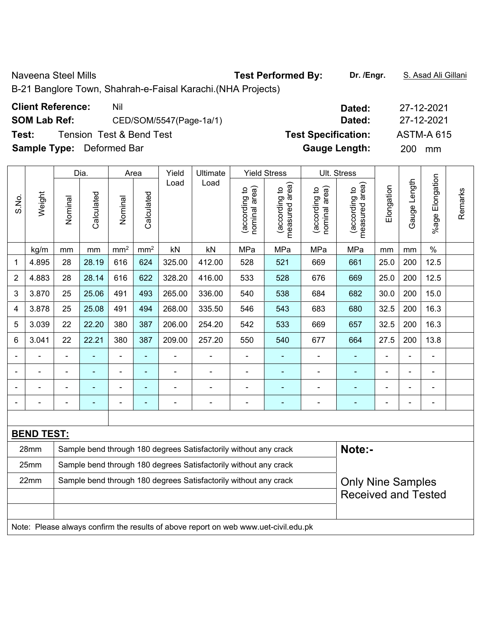Naveena Steel Mills **Test Performed By:** Dr. /Engr. **S. Asad Ali Gillani** Ali Gillani

B-21 Banglore Town, Shahrah-e-Faisal Karachi.(NHA Projects)

|  | <b>Client Reference:</b> | Nil |
|--|--------------------------|-----|
|  |                          |     |

**SOM Lab Ref:** CED/SOM/5547(Page-1a/1) **Dated:** 27-12-2021

**Test:** Tension Test & Bend Test **Test Specification:** ASTM-A 615

**Sample Type:** Deformed Bar **Gauge Length:** 200 mm

|                |                                                                                     |                | Dia.                                                                                         | Area            |                          | Yield          | Ultimate                                                         |                                | <b>Yield Stress</b>               |                                | Ult. Stress                     |                |              |                          |         |
|----------------|-------------------------------------------------------------------------------------|----------------|----------------------------------------------------------------------------------------------|-----------------|--------------------------|----------------|------------------------------------------------------------------|--------------------------------|-----------------------------------|--------------------------------|---------------------------------|----------------|--------------|--------------------------|---------|
| S.No.          | Weight                                                                              | Nominal        | Calculated                                                                                   | Nominal         | Calculated               | Load           | Load                                                             | nominal area)<br>(according to | (according to  <br>measured area) | (according to<br>nominal area) | (according to<br>measured area) | Elongation     | Gauge Length | Elongation<br>%age I     | Remarks |
|                | kg/m                                                                                | mm             | mm                                                                                           | mm <sup>2</sup> | mm <sup>2</sup>          | kN             | kN                                                               | MPa                            | MPa                               | MPa                            | MPa                             | mm             | mm           | $\%$                     |         |
| 1              | 4.895                                                                               | 28             | 28.19                                                                                        | 616             | 624                      | 325.00         | 412.00                                                           | 528                            | 521                               | 669                            | 661                             | 25.0           | 200          | 12.5                     |         |
| $\overline{2}$ | 4.883                                                                               | 28             | 28.14                                                                                        | 616             | 622                      | 328.20         | 416.00                                                           | 533                            | 528                               | 676                            | 669                             | 25.0           | 200          | 12.5                     |         |
| 3              | 3.870                                                                               | 25             | 25.06                                                                                        | 491             | 493                      | 265.00         | 336.00                                                           | 540                            | 538                               | 684                            | 682                             | 30.0           | 200          | 15.0                     |         |
| 4              | 3.878                                                                               | 25             | 25.08                                                                                        | 491             | 494                      | 268.00         | 335.50                                                           | 546                            | 543                               | 683                            | 680                             | 32.5           | 200          | 16.3                     |         |
| 5              | 3.039                                                                               | 22             | 22.20                                                                                        | 380             | 387                      | 206.00         | 254.20                                                           | 542                            | 533                               | 669                            | 657                             | 32.5           | 200          | 16.3                     |         |
| 6              | 3.041                                                                               | 22             | 22.21                                                                                        | 380             | 387                      | 209.00         | 257.20                                                           | 550                            | 540                               | 677                            | 664                             | 27.5           | 200          | 13.8                     |         |
|                |                                                                                     |                |                                                                                              | $\blacksquare$  | $\blacksquare$           |                |                                                                  | ä,                             | ٠                                 |                                |                                 |                |              | ä,                       |         |
|                |                                                                                     |                |                                                                                              |                 |                          | $\blacksquare$ |                                                                  | $\blacksquare$                 |                                   |                                |                                 |                |              | L,                       |         |
|                |                                                                                     |                | ۰                                                                                            | $\blacksquare$  | $\overline{\phantom{0}}$ | ۰              |                                                                  | $\blacksquare$                 | $\overline{\phantom{0}}$          | $\overline{\phantom{0}}$       | $\overline{\phantom{0}}$        |                | -            | ä,                       |         |
|                |                                                                                     | $\blacksquare$ | ۰                                                                                            | $\blacksquare$  | ٠                        | $\blacksquare$ | $\blacksquare$                                                   | $\blacksquare$                 | $\overline{\phantom{0}}$          | $\blacksquare$                 | $\overline{\phantom{0}}$        | $\blacksquare$ | L,           | $\overline{\phantom{a}}$ |         |
|                |                                                                                     |                |                                                                                              |                 |                          |                |                                                                  |                                |                                   |                                |                                 |                |              |                          |         |
|                | <b>BEND TEST:</b>                                                                   |                |                                                                                              |                 |                          |                |                                                                  |                                |                                   |                                |                                 |                |              |                          |         |
|                | 28mm                                                                                |                |                                                                                              |                 |                          |                | Sample bend through 180 degrees Satisfactorily without any crack |                                |                                   |                                | Note:-                          |                |              |                          |         |
|                | 25mm                                                                                |                | Sample bend through 180 degrees Satisfactorily without any crack                             |                 |                          |                |                                                                  |                                |                                   |                                |                                 |                |              |                          |         |
|                | 22mm                                                                                |                | Sample bend through 180 degrees Satisfactorily without any crack<br><b>Only Nine Samples</b> |                 |                          |                |                                                                  |                                |                                   |                                |                                 |                |              |                          |         |
|                |                                                                                     |                |                                                                                              |                 |                          |                |                                                                  |                                |                                   |                                | <b>Received and Tested</b>      |                |              |                          |         |
|                |                                                                                     |                |                                                                                              |                 |                          |                |                                                                  |                                |                                   |                                |                                 |                |              |                          |         |
|                | Note: Please always confirm the results of above report on web www.uet-civil.edu.pk |                |                                                                                              |                 |                          |                |                                                                  |                                |                                   |                                |                                 |                |              |                          |         |

**Client Reference:** Nil **Dated:** 27-12-2021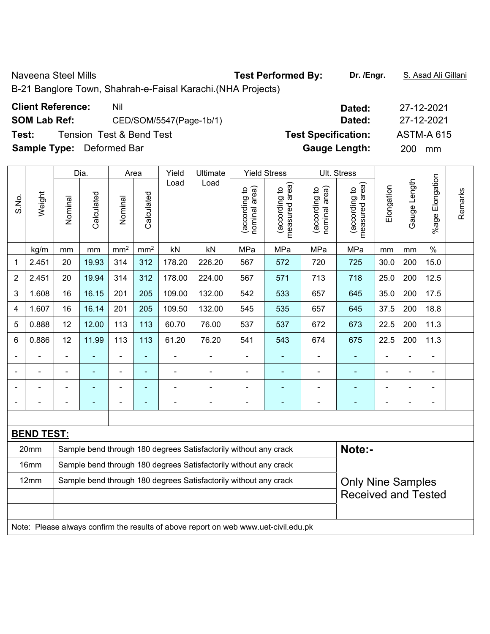Naveena Steel Mills **Test Performed By:** Dr. /Engr. **S. Asad Ali Gillani** Ali Gillani

B-21 Banglore Town, Shahrah-e-Faisal Karachi.(NHA Projects)

|  | <b>Client Reference:</b> | Nil |
|--|--------------------------|-----|
|  |                          |     |

**SOM Lab Ref:** CED/SOM/5547(Page-1b/1) **Dated:** 27-12-2021

**Test:** Tension Test & Bend Test **Test Specification:** ASTM-A 615

**Sample Type:** Deformed Bar **Gauge Length:** 200 mm

|                |                   |                                                                                     | Dia.                                                                                         |                 | Area            | Yield  | Ultimate                                                         |                                | <b>Yield Stress</b>             |                                | Ult. Stress                     |                              |              |                 |         |
|----------------|-------------------|-------------------------------------------------------------------------------------|----------------------------------------------------------------------------------------------|-----------------|-----------------|--------|------------------------------------------------------------------|--------------------------------|---------------------------------|--------------------------------|---------------------------------|------------------------------|--------------|-----------------|---------|
| S.No.          | Weight            | Nominal                                                                             | Calculated                                                                                   | Nominal         | Calculated      | Load   | Load                                                             | nominal area)<br>(according to | measured area)<br>(according to | (according to<br>nominal area) | measured area)<br>(according to | Elongation                   | Gauge Length | %age Elongation | Remarks |
|                | kg/m              | mm                                                                                  | mm                                                                                           | mm <sup>2</sup> | mm <sup>2</sup> | kN     | kN                                                               | MPa                            | MPa                             | MPa                            | MPa                             | mm                           | mm           | $\%$            |         |
| 1              | 2.451             | 20                                                                                  | 19.93                                                                                        | 314             | 312             | 178.20 | 226.20                                                           | 567                            | 572                             | 720                            | 725                             | 30.0                         | 200          | 15.0            |         |
| $\overline{2}$ | 2.451             | 20                                                                                  | 19.94                                                                                        | 314             | 312             | 178.00 | 224.00                                                           | 567                            | 571                             | 713                            | 718                             | 25.0                         | 200          | 12.5            |         |
| 3              | 1.608             | 16                                                                                  | 16.15                                                                                        | 201             | 205             | 109.00 | 132.00                                                           | 542                            | 533                             | 657                            | 645                             | 35.0                         | 200          | 17.5            |         |
| 4              | 1.607             | 16                                                                                  | 16.14                                                                                        | 201             | 205             | 109.50 | 132.00                                                           | 545                            | 535                             | 657                            | 645                             | 37.5                         | 200          | 18.8            |         |
| 5              | 0.888             | 12                                                                                  | 12.00                                                                                        | 113             | 113             | 60.70  | 76.00                                                            | 537                            | 537                             | 672                            | 673                             | 22.5                         | 200          | 11.3            |         |
| 6              | 0.886             | 12                                                                                  | 11.99                                                                                        | 113             | 113             | 61.20  | 76.20                                                            | 541                            | 543                             | 674                            | 675                             | 22.5                         | 200          | 11.3            |         |
|                |                   |                                                                                     |                                                                                              | $\blacksquare$  |                 |        |                                                                  | ä,                             | ÷,                              |                                |                                 |                              |              |                 |         |
|                |                   |                                                                                     |                                                                                              |                 |                 | ÷      |                                                                  | $\blacksquare$                 |                                 |                                |                                 |                              | ä,           | ä,              |         |
|                |                   |                                                                                     | ۰                                                                                            |                 | ۰               | ۰      |                                                                  | $\blacksquare$                 | ٠                               | ۰                              | $\blacksquare$                  |                              | -            | ä,              |         |
| $\blacksquare$ |                   | ä,                                                                                  | ۰                                                                                            | $\blacksquare$  |                 | ۰      | ÷                                                                | $\overline{a}$                 | ٠                               | $\blacksquare$                 | ۰                               | $\qquad \qquad \blacksquare$ | ä,           | $\blacksquare$  |         |
|                |                   |                                                                                     |                                                                                              |                 |                 |        |                                                                  |                                |                                 |                                |                                 |                              |              |                 |         |
|                | <b>BEND TEST:</b> |                                                                                     |                                                                                              |                 |                 |        |                                                                  |                                |                                 |                                |                                 |                              |              |                 |         |
|                | 20mm              |                                                                                     |                                                                                              |                 |                 |        | Sample bend through 180 degrees Satisfactorily without any crack |                                |                                 |                                | Note:-                          |                              |              |                 |         |
|                | 16 <sub>mm</sub>  | Sample bend through 180 degrees Satisfactorily without any crack                    |                                                                                              |                 |                 |        |                                                                  |                                |                                 |                                |                                 |                              |              |                 |         |
|                | 12mm              |                                                                                     | Sample bend through 180 degrees Satisfactorily without any crack<br><b>Only Nine Samples</b> |                 |                 |        |                                                                  |                                |                                 |                                |                                 |                              |              |                 |         |
|                |                   |                                                                                     |                                                                                              |                 |                 |        |                                                                  |                                |                                 |                                | <b>Received and Tested</b>      |                              |              |                 |         |
|                |                   |                                                                                     |                                                                                              |                 |                 |        |                                                                  |                                |                                 |                                |                                 |                              |              |                 |         |
|                |                   | Note: Please always confirm the results of above report on web www.uet-civil.edu.pk |                                                                                              |                 |                 |        |                                                                  |                                |                                 |                                |                                 |                              |              |                 |         |

**Client Reference:** Nil **Dated:** 27-12-2021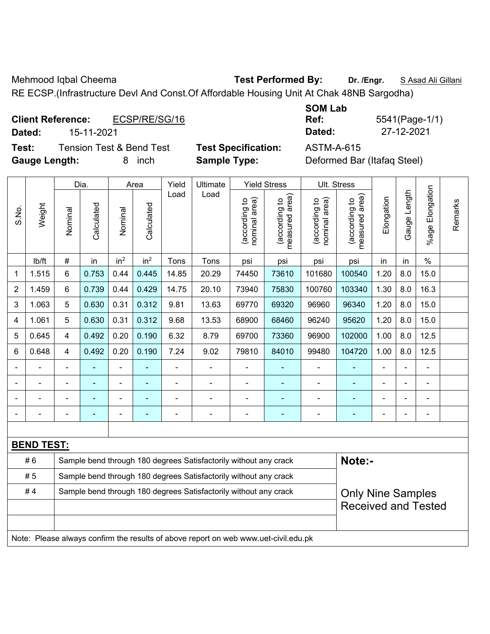Mehmood Iqbal Cheema **Test Performed By:** Dr. /Engr. **SAsad Ali Gillani** 

RE ECSP.(Infrastructure Devl And Const.Of Affordable Housing Unit At Chak 48NB Sargodha)

| <b>Client Reference:</b> | ECSP/RE/SG/16 | Ref:   | 5541(Page-1/ |
|--------------------------|---------------|--------|--------------|
| Dated:                   | 15-11-2021    | Dated: | 27-12-2021   |

**Test:** Tension Test & Bend Test **Test Specification:** ASTM-A-615 **Gauge Length:** 8 inch **Sample Type:** Deformed Bar (Itafaq Steel)

| <b>SOM Lab</b> |        |
|----------------|--------|
| Ref:           | 5541   |
| Dated:         | $27 -$ |

**Ref:** 5541(Page-1/1)

|                |                                                                                     |         | Dia.                                                             |                 | Area            | Yield | Ultimate                                                         |                               | <b>Yield Stress</b>                         |                                | Ult. Stress                     |            |              |                       |         |
|----------------|-------------------------------------------------------------------------------------|---------|------------------------------------------------------------------|-----------------|-----------------|-------|------------------------------------------------------------------|-------------------------------|---------------------------------------------|--------------------------------|---------------------------------|------------|--------------|-----------------------|---------|
| S.No.          | Weight                                                                              | Nominal | Calculated                                                       | Nominal         | Calculated      | Load  | Load                                                             | nominal area)<br>according to | (according to<br>neasured area)<br>measured | (according to<br>nominal area) | (according to<br>measured area) | Elongation | Gauge Length | Elongation<br>$%$ age | Remarks |
|                | lb/ft                                                                               | #       | in                                                               | in <sup>2</sup> | in <sup>2</sup> | Tons  | Tons                                                             | psi                           | psi                                         | psi                            | psi                             | in         | in           | $\frac{0}{0}$         |         |
| 1              | 1.515                                                                               | 6       | 0.753                                                            | 0.44            | 0.445           | 14.85 | 20.29                                                            | 74450                         | 73610                                       | 101680                         | 100540                          | 1.20       | 8.0          | 15.0                  |         |
| $\overline{2}$ | 1.459                                                                               | 6       | 0.739                                                            | 0.44            | 0.429           | 14.75 | 20.10                                                            | 73940                         | 75830                                       | 100760                         | 103340                          | 1.30       | 8.0          | 16.3                  |         |
| 3              | 1.063                                                                               | 5       | 0.630                                                            | 0.31            | 0.312           | 9.81  | 13.63                                                            | 69770                         | 69320                                       | 96960                          | 96340                           | 1.20       | 8.0          | 15.0                  |         |
| 4              | 1.061                                                                               | 5       | 0.630                                                            | 0.31            | 0.312           | 9.68  | 13.53                                                            | 68900                         | 68460                                       | 96240                          | 95620                           | 1.20       | 8.0          | 15.0                  |         |
| 5              | 0.645                                                                               | 4       | 0.492                                                            | 0.20            | 0.190           | 6.32  | 8.79                                                             | 69700                         | 73360                                       | 96900                          | 102000                          | 1.00       | 8.0          | 12.5                  |         |
| 6              | 0.648                                                                               | 4       | 0.492                                                            | 0.20            | 0.190           | 7.24  | 9.02                                                             | 79810                         | 84010                                       | 99480                          | 104720                          | 1.00       | 8.0          | 12.5                  |         |
|                | ÷,                                                                                  | ä,      | ä,                                                               | $\blacksquare$  |                 | ÷,    | ÷                                                                | $\overline{a}$                | ÷                                           | $\blacksquare$                 | ٠                               | L,         | ä,           | ÷                     |         |
|                | $\blacksquare$                                                                      |         | $\blacksquare$                                                   | $\blacksquare$  |                 | ä,    | $\blacksquare$                                                   | $\blacksquare$                | ÷                                           | $\blacksquare$                 | ٠                               |            |              | $\blacksquare$        |         |
|                |                                                                                     |         |                                                                  |                 |                 |       | $\blacksquare$                                                   | ä,                            | ۰                                           | $\blacksquare$                 | ۰                               |            |              | $\blacksquare$        |         |
|                |                                                                                     |         |                                                                  |                 |                 |       |                                                                  |                               |                                             |                                |                                 |            |              | $\blacksquare$        |         |
|                |                                                                                     |         |                                                                  |                 |                 |       |                                                                  |                               |                                             |                                |                                 |            |              |                       |         |
|                | <b>BEND TEST:</b>                                                                   |         |                                                                  |                 |                 |       |                                                                  |                               |                                             |                                |                                 |            |              |                       |         |
|                | #6                                                                                  |         |                                                                  |                 |                 |       | Sample bend through 180 degrees Satisfactorily without any crack |                               |                                             |                                | Note:-                          |            |              |                       |         |
|                | #5                                                                                  |         | Sample bend through 180 degrees Satisfactorily without any crack |                 |                 |       |                                                                  |                               |                                             |                                |                                 |            |              |                       |         |
|                | #4                                                                                  |         |                                                                  |                 |                 |       | Sample bend through 180 degrees Satisfactorily without any crack |                               |                                             |                                | <b>Only Nine Samples</b>        |            |              |                       |         |
|                |                                                                                     |         |                                                                  |                 |                 |       |                                                                  |                               |                                             |                                | <b>Received and Tested</b>      |            |              |                       |         |
|                |                                                                                     |         |                                                                  |                 |                 |       |                                                                  |                               |                                             |                                |                                 |            |              |                       |         |
|                | Note: Please always confirm the results of above report on web www.uet-civil.edu.pk |         |                                                                  |                 |                 |       |                                                                  |                               |                                             |                                |                                 |            |              |                       |         |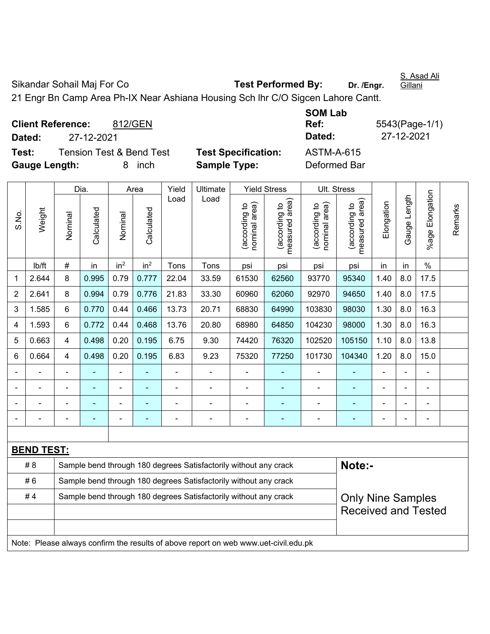S. Asad Ali **Gillani** 

Sikandar Sohail Maj For Co **Test Performed By:** Dr. /Engr.

21 Engr Bn Camp Area Ph-IX Near Ashiana Housing Sch lhr C/O Sigcen Lahore Cantt.

**Client Reference:** 812/GEN **Dated:** 27-12-2021 **Dated:** 27-12-2021 **Test:** Tension Test & Bend Test **Test Specification: Gauge Length:** 8 inch **Sample Type:** Deformed Bar

| <b>SOM Lab</b>    |                |
|-------------------|----------------|
| Ref:              | 5543(Page-1/1) |
| Dated:            | 27-12-2021     |
| <b>ASTM-A-615</b> |                |

|                |                                                                                     |                | Dia.                                                             |                 | Area            | Yield          | Ultimate                                                         |                                | <b>Yield Stress</b>             |                                | Ult. Stress                        |                |              |                    |         |
|----------------|-------------------------------------------------------------------------------------|----------------|------------------------------------------------------------------|-----------------|-----------------|----------------|------------------------------------------------------------------|--------------------------------|---------------------------------|--------------------------------|------------------------------------|----------------|--------------|--------------------|---------|
| S.No.          | Weight                                                                              | Nominal        | Calculated                                                       | Nominal         | Calculated      | Load           | Load                                                             | nominal area)<br>(according to | measured area)<br>(according to | (according to<br>nominal area) | area)<br>(according to<br>measured | Elongation     | Gauge Length | Elongation<br>%age | Remarks |
|                | lb/ft                                                                               | #              | in                                                               | in <sup>2</sup> | in <sup>2</sup> | Tons           | Tons                                                             | psi                            | psi                             | psi                            | psi                                | in             | in           | $\%$               |         |
| 1              | 2.644                                                                               | 8              | 0.995                                                            | 0.79            | 0.777           | 22.04          | 33.59                                                            | 61530                          | 62560                           | 93770                          | 95340                              | 1.40           | 8.0          | 17.5               |         |
| $\overline{2}$ | 2.641                                                                               | 8              | 0.994                                                            | 0.79            | 0.776           | 21.83          | 33.30                                                            | 60960                          | 62060                           | 92970                          | 94650                              | 1.40           | 8.0          | 17.5               |         |
| 3              | 1.585                                                                               | 6              | 0.770                                                            | 0.44            | 0.466           | 13.73          | 20.71                                                            | 68830                          | 64990                           | 103830                         | 98030                              | 1.30           | 8.0          | 16.3               |         |
| 4              | 1.593                                                                               | 6              | 0.772                                                            | 0.44            | 0.468           | 13.76          | 20.80                                                            | 68980                          | 64850                           | 104230                         | 98000                              | 1.30           | 8.0          | 16.3               |         |
| 5              | 0.663                                                                               | $\overline{4}$ | 0.498                                                            | 0.20            | 0.195           | 6.75           | 9.30                                                             | 74420                          | 76320                           | 102520                         | 105150                             | 1.10           | 8.0          | 13.8               |         |
| 6              | 0.664                                                                               | $\overline{4}$ | 0.498                                                            | 0.20            | 0.195           | 6.83           | 9.23                                                             | 75320                          | 77250                           | 101730                         | 104340                             | 1.20           | 8.0          | 15.0               |         |
|                |                                                                                     |                | $\blacksquare$                                                   | ÷,              |                 | $\blacksquare$ | ä,                                                               |                                |                                 | $\blacksquare$                 | ÷,                                 | $\blacksquare$ |              | ÷,                 |         |
|                |                                                                                     |                | ä,                                                               | ä,              |                 | L,             | ä,                                                               | $\blacksquare$                 |                                 | $\blacksquare$                 | ä,                                 |                |              | ä,                 |         |
|                |                                                                                     |                | $\overline{\phantom{0}}$                                         | $\blacksquare$  |                 |                | ÷,                                                               | $\blacksquare$                 |                                 | $\blacksquare$                 | $\blacksquare$                     |                |              | $\blacksquare$     |         |
|                |                                                                                     |                |                                                                  |                 |                 |                |                                                                  |                                |                                 |                                |                                    |                |              | $\blacksquare$     |         |
|                |                                                                                     |                |                                                                  |                 |                 |                |                                                                  |                                |                                 |                                |                                    |                |              |                    |         |
|                | <b>BEND TEST:</b>                                                                   |                |                                                                  |                 |                 |                |                                                                  |                                |                                 |                                |                                    |                |              |                    |         |
|                | # 8                                                                                 |                |                                                                  |                 |                 |                | Sample bend through 180 degrees Satisfactorily without any crack |                                |                                 |                                | Note:-                             |                |              |                    |         |
|                | # 6                                                                                 |                | Sample bend through 180 degrees Satisfactorily without any crack |                 |                 |                |                                                                  |                                |                                 |                                |                                    |                |              |                    |         |
|                | #4                                                                                  |                |                                                                  |                 |                 |                | Sample bend through 180 degrees Satisfactorily without any crack |                                |                                 |                                | <b>Only Nine Samples</b>           |                |              |                    |         |
|                |                                                                                     |                |                                                                  |                 |                 |                |                                                                  |                                |                                 |                                | <b>Received and Tested</b>         |                |              |                    |         |
|                |                                                                                     |                |                                                                  |                 |                 |                |                                                                  |                                |                                 |                                |                                    |                |              |                    |         |
|                | Note: Please always confirm the results of above report on web www.uet-civil.edu.pk |                |                                                                  |                 |                 |                |                                                                  |                                |                                 |                                |                                    |                |              |                    |         |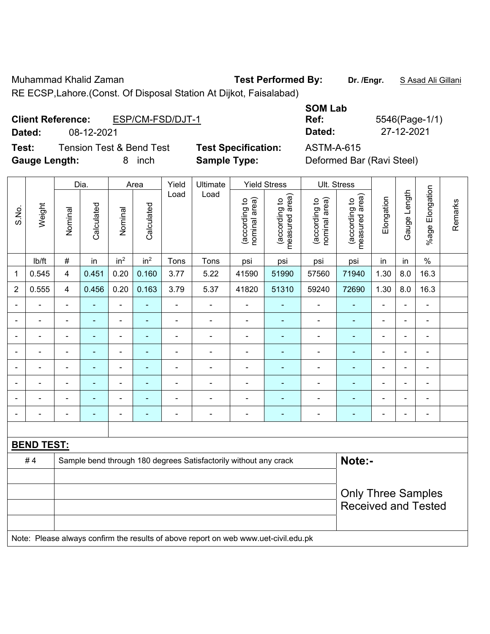Muhammad Khalid Zaman **Test Performed By:** Dr. /Engr. **SAsad Ali Gillani** 

RE ECSP,Lahore.(Const. Of Disposal Station At Dijkot, Faisalabad)

| <b>Client Reference:</b> | ESP/CM-FSD/DJT-1 |
|--------------------------|------------------|
|--------------------------|------------------|

**Test:** Tension Test & Bend Test **Test Specification:** ASTM-A-615 **Gauge Length:** 8 inch **Sample Type:** Deformed Bar (Ravi Steel)

**SOM Lab Ref:** 5546(Page-1/1) **Dated:** 08-12-2021 **Dated:** 27-12-2021

|                          |                   |                | Dia.       |                          | Area            | Yield          | Ultimate                                                                            |                                | <b>Yield Stress</b>             |                                | Ult. Stress                     |                |                |                 |         |
|--------------------------|-------------------|----------------|------------|--------------------------|-----------------|----------------|-------------------------------------------------------------------------------------|--------------------------------|---------------------------------|--------------------------------|---------------------------------|----------------|----------------|-----------------|---------|
| S.No.                    | Weight            | Nominal        | Calculated | Nominal                  | Calculated      | Load           | Load                                                                                | nominal area)<br>(according to | (according to<br>measured area) | (according to<br>nominal area) | (according to<br>measured area) | Elongation     | Gauge Length   | %age Elongation | Remarks |
|                          | lb/ft             | $\#$           | in         | in <sup>2</sup>          | in <sup>2</sup> | Tons           | Tons                                                                                | psi                            | psi                             | psi                            | psi                             | in             | in             | $\%$            |         |
| $\mathbf{1}$             | 0.545             | 4              | 0.451      | 0.20                     | 0.160           | 3.77           | 5.22                                                                                | 41590                          | 51990                           | 57560                          | 71940                           | 1.30           | 8.0            | 16.3            |         |
| $\overline{2}$           | 0.555             | $\overline{4}$ | 0.456      | 0.20                     | 0.163           | 3.79           | 5.37                                                                                | 41820                          | 51310                           | 59240                          | 72690                           | 1.30           | 8.0            | 16.3            |         |
|                          |                   |                |            | ÷,                       |                 |                | ÷,                                                                                  |                                |                                 |                                |                                 |                |                |                 |         |
|                          | ä,                | ä,             | ÷,         | $\overline{\phantom{0}}$ | ÷               | $\blacksquare$ | ÷                                                                                   | $\blacksquare$                 | ÷                               | $\blacksquare$                 | $\blacksquare$                  | L,             | $\blacksquare$ | ÷,              |         |
| $\overline{\phantom{0}}$ | ÷                 | $\blacksquare$ | ä,         | $\blacksquare$           | ÷               | $\blacksquare$ | ÷                                                                                   | -                              | ÷                               | $\overline{\phantom{a}}$       | $\blacksquare$                  | ÷              | $\blacksquare$ | ÷,              |         |
|                          | $\blacksquare$    | ä,             | ä,         | $\blacksquare$           | ۰               | $\blacksquare$ | ÷                                                                                   | L,                             | ۰                               | $\blacksquare$                 | $\blacksquare$                  | ä,             |                | ÷,              |         |
|                          |                   |                | ÷          | ÷,                       |                 |                | ä,                                                                                  | $\blacksquare$                 |                                 | ÷,                             | $\blacksquare$                  | L,             |                | ä,              |         |
|                          |                   |                |            | ۰                        |                 |                | $\blacksquare$                                                                      |                                |                                 |                                | $\blacksquare$                  |                |                | $\blacksquare$  |         |
|                          |                   |                |            | ٠                        |                 |                | $\blacksquare$                                                                      |                                |                                 |                                |                                 |                |                | $\blacksquare$  |         |
|                          |                   |                | ÷,         | ÷                        | $\blacksquare$  | $\blacksquare$ | ä,                                                                                  | $\blacksquare$                 | $\blacksquare$                  | $\blacksquare$                 | $\blacksquare$                  | $\overline{a}$ | $\blacksquare$ | ÷               |         |
|                          |                   |                |            |                          |                 |                |                                                                                     |                                |                                 |                                |                                 |                |                |                 |         |
|                          | <b>BEND TEST:</b> |                |            |                          |                 |                |                                                                                     |                                |                                 |                                |                                 |                |                |                 |         |
|                          | #4                |                |            |                          |                 |                | Sample bend through 180 degrees Satisfactorily without any crack                    |                                |                                 |                                | Note:-                          |                |                |                 |         |
|                          |                   |                |            |                          |                 |                |                                                                                     |                                |                                 |                                |                                 |                |                |                 |         |
|                          |                   |                |            |                          |                 |                |                                                                                     |                                |                                 |                                | <b>Only Three Samples</b>       |                |                |                 |         |
|                          |                   |                |            |                          |                 |                |                                                                                     |                                |                                 |                                | <b>Received and Tested</b>      |                |                |                 |         |
|                          |                   |                |            |                          |                 |                |                                                                                     |                                |                                 |                                |                                 |                |                |                 |         |
|                          |                   |                |            |                          |                 |                | Note: Please always confirm the results of above report on web www.uet-civil.edu.pk |                                |                                 |                                |                                 |                |                |                 |         |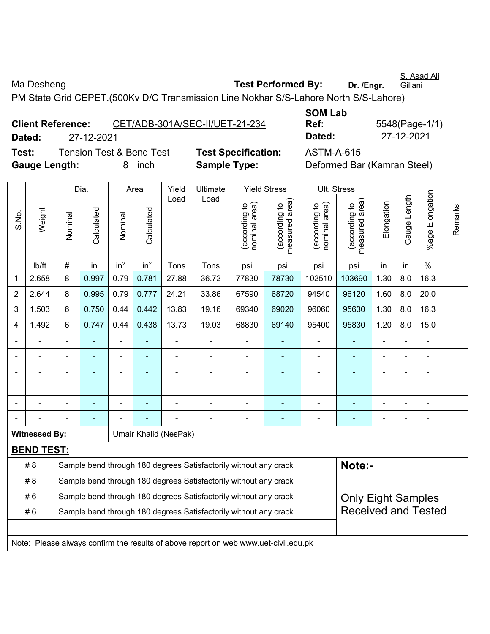S. Asad Ali **Gillani** 

Ma Desheng **Test Performed By:** Dr. /Engr.

PM State Grid CEPET.(500Kv D/C Transmission Line Nokhar S/S-Lahore North S/S-Lahore)

|                      | <b>Client Reference:</b> |                                     | CET/ADB-301A/SEC-II/UET-21-234 | UUII LUM<br>Ref: | 5548(Page-1/                |
|----------------------|--------------------------|-------------------------------------|--------------------------------|------------------|-----------------------------|
| Dated:               | 27-12-2021               |                                     |                                | Dated:           | 27-12-2021                  |
| Test:                |                          | <b>Tension Test &amp; Bend Test</b> | <b>Test Specification:</b>     | ASTM-A-615       |                             |
| <b>Gauge Length:</b> |                          | inch                                | <b>Sample Type:</b>            |                  | Deformed Bar (Kamran Steel) |

**SOM Lab Ref:** 5548(Page-1/1) **Dated:** 27-12-2021 **Dated:** 27-12-2021

|                |                      |                                                                  | Dia.                                                             |                 | Area            | Yield                 | Ultimate                                                                            |                                | <b>Yield Stress</b>                         | Ult. Stress                    |                                 |                |                |                 |         |
|----------------|----------------------|------------------------------------------------------------------|------------------------------------------------------------------|-----------------|-----------------|-----------------------|-------------------------------------------------------------------------------------|--------------------------------|---------------------------------------------|--------------------------------|---------------------------------|----------------|----------------|-----------------|---------|
| S.No.          | Weight               | Nominal                                                          | Calculated                                                       | Nominal         | Calculated      | Load                  | Load                                                                                | nominal area)<br>(according to | (according to<br>neasured area)<br>measured | nominal area)<br>(according to | measured area)<br>(according to | Elongation     | Gauge Length   | %age Elongation | Remarks |
|                | lb/ft                | #                                                                | in                                                               | in <sup>2</sup> | in <sup>2</sup> | Tons                  | Tons                                                                                | psi                            | psi                                         | psi                            | psi                             | in             | in             | $\frac{0}{0}$   |         |
| 1              | 2.658                | 8                                                                | 0.997                                                            | 0.79            | 0.781           | 27.88                 | 36.72                                                                               | 77830                          | 78730                                       | 102510                         | 103690                          | 1.30           | 8.0            | 16.3            |         |
| $\overline{2}$ | 2.644                | 8                                                                | 0.995                                                            | 0.79            | 0.777           | 24.21                 | 33.86                                                                               | 67590                          | 68720                                       | 94540                          | 96120                           | 1.60           | 8.0            | 20.0            |         |
| 3              | 1.503                | 6                                                                | 0.750                                                            | 0.44            | 0.442           | 13.83                 | 19.16                                                                               | 69340                          | 69020                                       | 96060                          | 95630                           | 1.30           | 8.0            | 16.3            |         |
| 4              | 1.492                | 6                                                                | 0.747                                                            | 0.44            | 0.438           | 13.73                 | 19.03                                                                               | 68830                          | 69140                                       | 95400                          | 95830                           | 1.20           | 8.0            | 15.0            |         |
|                |                      |                                                                  |                                                                  |                 |                 |                       | $\overline{\phantom{0}}$                                                            |                                |                                             | $\overline{a}$                 |                                 | $\blacksquare$ | ÷.             | $\blacksquare$  |         |
|                |                      | L.                                                               | $\blacksquare$                                                   | $\blacksquare$  |                 |                       | $\blacksquare$                                                                      | L,                             | $\overline{\phantom{a}}$                    | $\blacksquare$                 | $\blacksquare$                  | $\blacksquare$ | ä,             | $\blacksquare$  |         |
|                |                      | $\blacksquare$                                                   | $\blacksquare$                                                   | $\blacksquare$  |                 | $\blacksquare$        | $\blacksquare$                                                                      | L,                             |                                             | $\blacksquare$                 | $\overline{\phantom{a}}$        | $\blacksquare$ | ÷.             | $\blacksquare$  |         |
|                |                      | $\blacksquare$                                                   | $\blacksquare$                                                   | $\blacksquare$  |                 |                       |                                                                                     | $\overline{a}$                 |                                             | $\blacksquare$                 | ÷                               |                | ÷              | $\blacksquare$  |         |
|                |                      |                                                                  |                                                                  |                 |                 |                       |                                                                                     |                                |                                             | Ē,                             | ä,                              |                |                |                 |         |
|                |                      |                                                                  |                                                                  |                 |                 |                       |                                                                                     |                                |                                             |                                |                                 |                | $\blacksquare$ | $\blacksquare$  |         |
|                | <b>Witnessed By:</b> |                                                                  |                                                                  |                 |                 | Umair Khalid (NesPak) |                                                                                     |                                |                                             |                                |                                 |                |                |                 |         |
|                | <b>BEND TEST:</b>    |                                                                  |                                                                  |                 |                 |                       |                                                                                     |                                |                                             |                                |                                 |                |                |                 |         |
|                | # 8                  |                                                                  |                                                                  |                 |                 |                       | Sample bend through 180 degrees Satisfactorily without any crack                    |                                |                                             |                                | Note:-                          |                |                |                 |         |
|                | # 8                  | Sample bend through 180 degrees Satisfactorily without any crack |                                                                  |                 |                 |                       |                                                                                     |                                |                                             |                                |                                 |                |                |                 |         |
|                | #6                   |                                                                  | Sample bend through 180 degrees Satisfactorily without any crack |                 |                 |                       |                                                                                     |                                |                                             |                                | <b>Only Eight Samples</b>       |                |                |                 |         |
|                | #6                   | Sample bend through 180 degrees Satisfactorily without any crack |                                                                  |                 |                 |                       |                                                                                     |                                |                                             | <b>Received and Tested</b>     |                                 |                |                |                 |         |
|                |                      |                                                                  |                                                                  |                 |                 |                       |                                                                                     |                                |                                             |                                |                                 |                |                |                 |         |
|                |                      |                                                                  |                                                                  |                 |                 |                       | Note: Please always confirm the results of above report on web www.uet-civil.edu.pk |                                |                                             |                                |                                 |                |                |                 |         |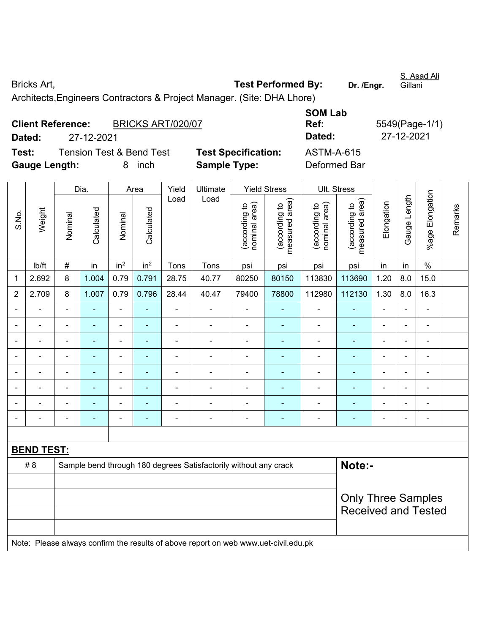Bricks Art, **Test Performed By: Dr. /Engr.**  Architects,Engineers Contractors & Project Manager. (Site: DHA Lhore)

|                          |                                     |                   |                            | <b>SOM Lab</b> |                |
|--------------------------|-------------------------------------|-------------------|----------------------------|----------------|----------------|
| <b>Client Reference:</b> |                                     | BRICKS ART/020/07 |                            | Ref:           | 5549(Page-1/1) |
| Dated:                   | 27-12-2021                          |                   |                            | Dated:         | 27-12-2021     |
| Test:                    | <b>Tension Test &amp; Bend Test</b> |                   | <b>Test Specification:</b> | ASTM-A-615     |                |
| <b>Gauge Length:</b>     |                                     | inch              | <b>Sample Type:</b>        | Deformed Bar   |                |

|                |                   |                | Dia.           |                          | Area            | Yield          | Ultimate                                                                            |                                | <b>Yield Stress</b>             |                                | Ult. Stress                     |                          |                          |                          |         |
|----------------|-------------------|----------------|----------------|--------------------------|-----------------|----------------|-------------------------------------------------------------------------------------|--------------------------------|---------------------------------|--------------------------------|---------------------------------|--------------------------|--------------------------|--------------------------|---------|
| S.No.          | Weight            | Nominal        | Calculated     | Nominal                  | Calculated      | Load           | Load                                                                                | nominal area)<br>(according to | (according to<br>measured area) | nominal area)<br>(according to | (according to<br>measured area) | Elongation               | Gauge Length             | %age Elongation          | Remarks |
|                | lb/ft             | $\#$           | in             | in <sup>2</sup>          | in <sup>2</sup> | Tons           | Tons                                                                                | psi                            | psi                             | psi                            | psi                             | in                       | in                       | $\%$                     |         |
| 1              | 2.692             | 8              | 1.004          | 0.79                     | 0.791           | 28.75          | 40.77                                                                               | 80250                          | 80150                           | 113830                         | 113690                          | 1.20                     | 8.0                      | 15.0                     |         |
| $\overline{2}$ | 2.709             | $\,8\,$        | 1.007          | 0.79                     | 0.796           | 28.44          | 40.47                                                                               | 79400                          | 78800                           | 112980                         | 112130                          | 1.30                     | 8.0                      | 16.3                     |         |
|                |                   |                |                | L.                       |                 |                | L,                                                                                  |                                |                                 |                                |                                 | $\overline{a}$           |                          | $\blacksquare$           |         |
|                |                   |                |                | $\blacksquare$           |                 |                | $\blacksquare$                                                                      | $\blacksquare$                 |                                 | $\blacksquare$                 |                                 | $\overline{\phantom{a}}$ |                          | $\blacksquare$           |         |
| $\blacksquare$ |                   | $\blacksquare$ |                | $\overline{\phantom{0}}$ | ۰               | $\blacksquare$ | $\blacksquare$                                                                      | $\blacksquare$                 | ۰                               | $\blacksquare$                 | ٠                               | $\blacksquare$           | $\blacksquare$           | $\blacksquare$           |         |
|                |                   |                | $\blacksquare$ | -                        | ۰               | ٠              | $\overline{\phantom{0}}$                                                            | $\blacksquare$                 | $\blacksquare$                  | $\overline{\phantom{0}}$       | $\blacksquare$                  | $\blacksquare$           | $\overline{\phantom{0}}$ | $\overline{\phantom{a}}$ |         |
|                | ÷                 | $\blacksquare$ | Ē.             | $\overline{\phantom{0}}$ | ۰               | $\blacksquare$ | $\blacksquare$                                                                      | $\blacksquare$                 | ۰                               | $\blacksquare$                 | $\blacksquare$                  | $\blacksquare$           | L.                       | $\blacksquare$           |         |
|                |                   |                |                | ÷,                       | ۰               | $\overline{a}$ | $\blacksquare$                                                                      | $\blacksquare$                 | ÷                               | $\blacksquare$                 |                                 | $\blacksquare$           |                          | ÷,                       |         |
|                |                   |                |                | $\overline{a}$           |                 |                |                                                                                     | $\blacksquare$                 | ۰                               |                                |                                 |                          |                          | ۰                        |         |
|                |                   |                |                |                          |                 | ٠              | $\blacksquare$                                                                      | $\blacksquare$                 | $\blacksquare$                  |                                |                                 |                          |                          | $\blacksquare$           |         |
|                |                   |                |                |                          |                 |                |                                                                                     |                                |                                 |                                |                                 |                          |                          |                          |         |
|                | <b>BEND TEST:</b> |                |                |                          |                 |                |                                                                                     |                                |                                 |                                |                                 |                          |                          |                          |         |
|                | # 8               |                |                |                          |                 |                | Sample bend through 180 degrees Satisfactorily without any crack                    |                                |                                 |                                | Note:-                          |                          |                          |                          |         |
|                |                   |                |                |                          |                 |                |                                                                                     |                                |                                 |                                |                                 |                          |                          |                          |         |
|                |                   |                |                |                          |                 |                |                                                                                     |                                |                                 | <b>Only Three Samples</b>      |                                 |                          |                          |                          |         |
|                |                   |                |                |                          |                 |                |                                                                                     |                                |                                 |                                | <b>Received and Tested</b>      |                          |                          |                          |         |
|                |                   |                |                |                          |                 |                |                                                                                     |                                |                                 |                                |                                 |                          |                          |                          |         |
|                |                   |                |                |                          |                 |                | Note: Please always confirm the results of above report on web www.uet-civil.edu.pk |                                |                                 |                                |                                 |                          |                          |                          |         |

S. Asad Ali

Gillani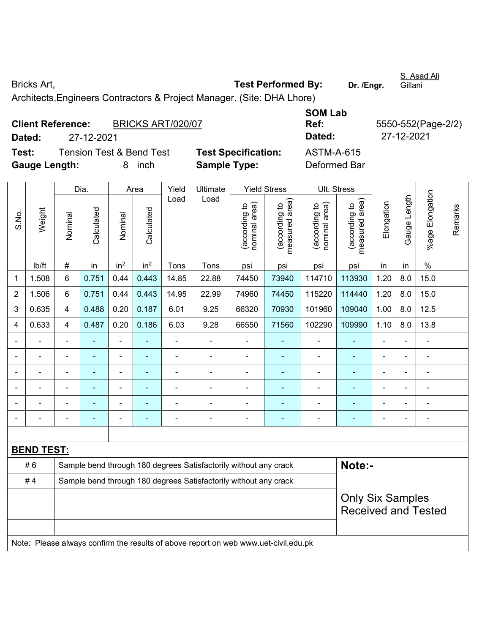Bricks Art, **Test Performed By:** Dr. /Engr. Architects,Engineers Contractors & Project Manager. (Site: DHA Lhore)

| <b>Client Reference:</b> |            |                                     | BRICKS ART/020/07          |                   |  |  |  |
|--------------------------|------------|-------------------------------------|----------------------------|-------------------|--|--|--|
| Dated:                   | 27-12-2021 |                                     |                            | Dated:            |  |  |  |
| Test:                    |            | <b>Tension Test &amp; Bend Test</b> | <b>Test Specification:</b> | <b>ASTM-A-615</b> |  |  |  |
| <b>Gauge Length:</b>     |            | inch<br>8.                          | <b>Sample Type:</b>        | Deformed Bar      |  |  |  |

**SOM Lab Ref:** 5550-552(Page-2/2) **Dated:** 27-12-2021 **Dated:** 27-12-2021 **Text: Specification:** ASTM-A-615

|                |                   |                                                                  | Dia.           |                          | Area            | Yield          | Ultimate                                                                            |                                | <b>Yield Stress</b>             |                                | Ult. Stress                                 |                |              |                 |         |
|----------------|-------------------|------------------------------------------------------------------|----------------|--------------------------|-----------------|----------------|-------------------------------------------------------------------------------------|--------------------------------|---------------------------------|--------------------------------|---------------------------------------------|----------------|--------------|-----------------|---------|
| S.No.          | Weight            | Nominal                                                          | Calculated     | Nominal                  | Calculated      | Load           | Load                                                                                | nominal area)<br>(according to | measured area)<br>(according to | nominal area)<br>(according to | (according to<br>measured area)<br>measured | Elongation     | Gauge Length | %age Elongation | Remarks |
|                | lb/ft             | $\#$                                                             | in             | in <sup>2</sup>          | in <sup>2</sup> | Tons           | Tons                                                                                | psi                            | psi                             | psi                            | psi                                         | in             | in           | $\%$            |         |
| $\mathbf 1$    | 1.508             | 6                                                                | 0.751          | 0.44                     | 0.443           | 14.85          | 22.88                                                                               | 74450                          | 73940                           | 114710                         | 113930                                      | 1.20           | 8.0          | 15.0            |         |
| $\overline{2}$ | 1.506             | 6                                                                | 0.751          | 0.44                     | 0.443           | 14.95          | 22.99                                                                               | 74960                          | 74450                           | 115220                         | 114440                                      | 1.20           | 8.0          | 15.0            |         |
| 3              | 0.635             | 4                                                                | 0.488          | 0.20                     | 0.187           | 6.01           | 9.25                                                                                | 66320                          | 70930                           | 101960                         | 109040                                      | 1.00           | 8.0          | 12.5            |         |
| 4              | 0.633             | 4                                                                | 0.487          | 0.20                     | 0.186           | 6.03           | 9.28                                                                                | 66550                          | 71560                           | 102290                         | 109990                                      | 1.10           | 8.0          | 13.8            |         |
| $\blacksquare$ |                   | $\blacksquare$                                                   | L,             | $\overline{\phantom{a}}$ | ä,              | $\blacksquare$ | ÷,                                                                                  | ÷,                             | $\blacksquare$                  | $\blacksquare$                 | $\blacksquare$                              | $\blacksquare$ | ä,           | $\blacksquare$  |         |
| $\blacksquare$ | ÷                 | $\blacksquare$                                                   | $\blacksquare$ | ÷,                       | ÷               | $\blacksquare$ | ÷,                                                                                  | ÷,                             |                                 | ÷,                             | $\blacksquare$                              | $\blacksquare$ | ä,           | $\blacksquare$  |         |
| $\blacksquare$ | ÷                 | $\blacksquare$                                                   | ÷,             | $\blacksquare$           | ä,              | $\blacksquare$ | $\blacksquare$                                                                      | $\overline{\phantom{a}}$       | $\blacksquare$                  | $\blacksquare$                 | $\blacksquare$                              | $\overline{a}$ |              | ÷.              |         |
|                |                   | $\blacksquare$                                                   |                |                          |                 | $\blacksquare$ | $\blacksquare$                                                                      | Ē,                             |                                 | $\blacksquare$                 | $\overline{\phantom{a}}$                    |                |              | ÷               |         |
|                |                   |                                                                  |                |                          |                 |                |                                                                                     |                                |                                 |                                |                                             |                |              |                 |         |
| $\blacksquare$ |                   |                                                                  |                |                          |                 |                |                                                                                     |                                |                                 |                                |                                             |                |              | ÷               |         |
|                |                   |                                                                  |                |                          |                 |                |                                                                                     |                                |                                 |                                |                                             |                |              |                 |         |
|                | <b>BEND TEST:</b> |                                                                  |                |                          |                 |                |                                                                                     |                                |                                 |                                |                                             |                |              |                 |         |
|                | #6                |                                                                  |                |                          |                 |                | Sample bend through 180 degrees Satisfactorily without any crack                    |                                |                                 |                                | Note:-                                      |                |              |                 |         |
|                | #4                | Sample bend through 180 degrees Satisfactorily without any crack |                |                          |                 |                |                                                                                     |                                |                                 |                                |                                             |                |              |                 |         |
|                |                   |                                                                  |                |                          |                 |                |                                                                                     |                                | <b>Only Six Samples</b>         |                                |                                             |                |              |                 |         |
|                |                   |                                                                  |                |                          |                 |                | <b>Received and Tested</b>                                                          |                                |                                 |                                |                                             |                |              |                 |         |
|                |                   |                                                                  |                |                          |                 |                | Note: Please always confirm the results of above report on web www.uet-civil.edu.pk |                                |                                 |                                |                                             |                |              |                 |         |

S. Asad Ali Gillani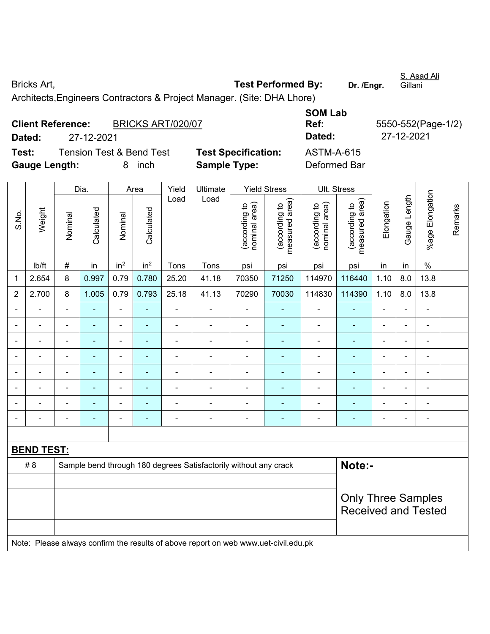Bricks Art, **Test Performed By:** Dr. /Engr. Architects,Engineers Contractors & Project Manager. (Site: DHA Lhore)

| <b>Client Reference:</b> |            | BRICKS ART/020/07        |                            | Ref:         | 5550-552(Pa |  |  |
|--------------------------|------------|--------------------------|----------------------------|--------------|-------------|--|--|
| Dated:                   | 27-12-2021 |                          |                            | Dated:       | 27-12-2021  |  |  |
| Test:                    |            | Tension Test & Bend Test | <b>Test Specification:</b> | ASTM-A-615   |             |  |  |
| <b>Gauge Length:</b>     |            | inch                     | <b>Sample Type:</b>        | Deformed Bar |             |  |  |

| <b>SOM Lab</b> |                    |
|----------------|--------------------|
| Ref:           | 5550-552(Page-1/2) |
| Dated:         | 27-12-2021         |
| ASTM-A-615     |                    |
| Deformed Bar   |                    |

|                |                   |                | Dia.           |                 | Area                     | Yield                    | Ultimate                                                                            |                               | <b>Yield Stress</b>             |                               | Ult. Stress                     |                |                |                 |         |
|----------------|-------------------|----------------|----------------|-----------------|--------------------------|--------------------------|-------------------------------------------------------------------------------------|-------------------------------|---------------------------------|-------------------------------|---------------------------------|----------------|----------------|-----------------|---------|
| S.No.          | Weight            | Nominal        | Calculated     | Nominal         | Calculated               | Load                     | Load                                                                                | nominal area)<br>according to | measured area)<br>(according to | nominal area)<br>according to | (according to<br>measured area) | Elongation     | Gauge Length   | %age Elongation | Remarks |
|                | lb/ft             | $\#$           | in             | in <sup>2</sup> | in <sup>2</sup>          | Tons                     | Tons                                                                                | psi                           | psi                             | psi                           | psi                             | in             | in             | $\%$            |         |
| 1              | 2.654             | 8              | 0.997          | 0.79            | 0.780                    | 25.20                    | 41.18                                                                               | 70350                         | 71250                           | 114970                        | 116440                          | 1.10           | 8.0            | 13.8            |         |
| $\overline{2}$ | 2.700             | 8              | 1.005          | 0.79            | 0.793                    | 25.18                    | 41.13                                                                               | 70290                         | 70030                           | 114830                        | 114390                          | 1.10           | 8.0            | 13.8            |         |
|                | ä,                | $\blacksquare$ | ä,             | ä,              | ä,                       | $\blacksquare$           | ä,                                                                                  | ä,                            |                                 | $\blacksquare$                | ä,                              | ä,             | $\blacksquare$ | $\blacksquare$  |         |
|                |                   |                | $\blacksquare$ | $\blacksquare$  |                          | $\overline{\phantom{a}}$ | $\blacksquare$                                                                      | $\blacksquare$                |                                 | $\overline{\phantom{a}}$      | $\blacksquare$                  | $\blacksquare$ |                | $\blacksquare$  |         |
|                |                   |                |                |                 |                          |                          |                                                                                     |                               |                                 |                               |                                 |                |                |                 |         |
|                |                   | $\blacksquare$ | $\blacksquare$ | $\blacksquare$  | $\blacksquare$           |                          | L,                                                                                  | $\blacksquare$                | $\overline{\phantom{a}}$        | $\overline{\phantom{a}}$      | $\blacksquare$                  | $\blacksquare$ |                | $\blacksquare$  |         |
| $\blacksquare$ |                   | $\blacksquare$ | ٠              | $\blacksquare$  | ۰                        | Ē,                       | $\blacksquare$                                                                      | $\blacksquare$                |                                 | $\blacksquare$                | ٠                               | $\blacksquare$ | $\blacksquare$ | $\blacksquare$  |         |
| $\blacksquare$ | $\blacksquare$    | $\blacksquare$ | $\blacksquare$ | $\blacksquare$  | $\overline{\phantom{a}}$ | $\blacksquare$           | $\blacksquare$                                                                      | $\blacksquare$                | $\blacksquare$                  | $\blacksquare$                | $\blacksquare$                  | $\blacksquare$ | ÷              | $\blacksquare$  |         |
|                | $\blacksquare$    | $\blacksquare$ | $\blacksquare$ | $\blacksquare$  | $\blacksquare$           | Ē,                       | $\blacksquare$                                                                      | $\blacksquare$                | ٠                               | $\blacksquare$                | $\blacksquare$                  | $\blacksquare$ | $\blacksquare$ | $\blacksquare$  |         |
|                | $\blacksquare$    | $\blacksquare$ | $\blacksquare$ | $\blacksquare$  | ÷                        | Ē,                       | $\blacksquare$                                                                      | $\blacksquare$                | ٠                               | $\blacksquare$                | $\blacksquare$                  | $\blacksquare$ |                | ÷,              |         |
|                |                   |                |                |                 |                          |                          |                                                                                     |                               |                                 |                               |                                 |                |                |                 |         |
|                | <b>BEND TEST:</b> |                |                |                 |                          |                          |                                                                                     |                               |                                 |                               |                                 |                |                |                 |         |
|                | # 8               |                |                |                 |                          |                          | Sample bend through 180 degrees Satisfactorily without any crack                    |                               |                                 |                               | Note:-                          |                |                |                 |         |
|                |                   |                |                |                 |                          |                          |                                                                                     |                               |                                 |                               |                                 |                |                |                 |         |
|                |                   |                |                |                 |                          |                          |                                                                                     |                               |                                 | <b>Only Three Samples</b>     |                                 |                |                |                 |         |
|                |                   |                |                |                 |                          |                          |                                                                                     |                               |                                 |                               | <b>Received and Tested</b>      |                |                |                 |         |
|                |                   |                |                |                 |                          |                          |                                                                                     |                               |                                 |                               |                                 |                |                |                 |         |
|                |                   |                |                |                 |                          |                          | Note: Please always confirm the results of above report on web www.uet-civil.edu.pk |                               |                                 |                               |                                 |                |                |                 |         |

S. Asad Ali Gillani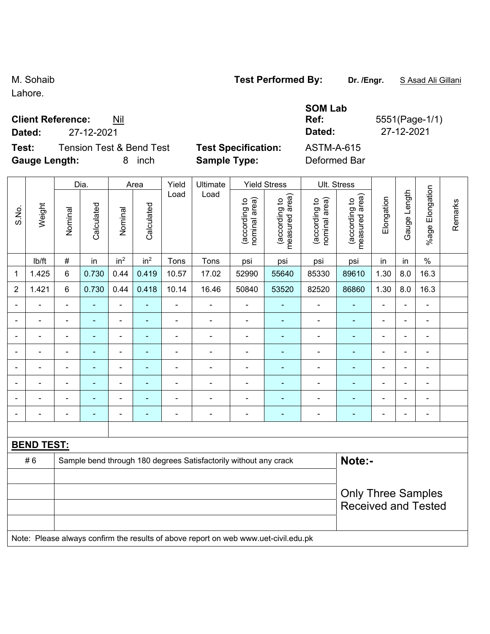Lahore.

 $\overline{1}$ 

## **Client Reference**

 $\top$ 

|                          |            | <b>SOM Lab</b> |             |
|--------------------------|------------|----------------|-------------|
| <b>Client Reference:</b> | Nil        | Ref:           | 5551(Page-1 |
| Dated:                   | 27-12-2021 | Dated:         | 27-12-2021  |

**Ref:** 5551(Page-1/1)

| <b>Test Specification:</b> | <b>ASTM-A-615</b>                             |
|----------------------------|-----------------------------------------------|
| <b>Sample Type:</b>        | Deformed Ba                                   |
|                            | <b>Tension Test &amp; Bend Test</b><br>8 inch |

 $\mathbf{r}$ 

|                |                   |                           | Dia.                     |                          | Area                     | Yield                    | Ultimate                                                                            |                                | <b>Yield Stress</b>             |                                | Ult. Stress                     |                |                |                          |         |
|----------------|-------------------|---------------------------|--------------------------|--------------------------|--------------------------|--------------------------|-------------------------------------------------------------------------------------|--------------------------------|---------------------------------|--------------------------------|---------------------------------|----------------|----------------|--------------------------|---------|
| S.No.          | Weight            | Nominal                   | Calculated               | Nominal                  | Calculated               | Load                     | Load                                                                                | (according to<br>nominal area) | (according to<br>measured area) | (according to<br>nominal area) | (according to<br>measured area) | Elongation     | Gauge Length   | Elongation<br>$%$ age    | Remarks |
|                | lb/ft             | $\#$                      | in                       | in <sup>2</sup>          | in <sup>2</sup>          | Tons                     | Tons                                                                                | psi                            | psi                             | psi                            | psi                             | in             | in             | $\%$                     |         |
| 1              | 1.425             | 6                         | 0.730                    | 0.44                     | 0.419                    | 10.57                    | 17.02                                                                               | 52990                          | 55640                           | 85330                          | 89610                           | 1.30           | 8.0            | 16.3                     |         |
| $\overline{2}$ | 1.421             | $\,6\,$                   | 0.730                    | 0.44                     | 0.418                    | 10.14                    | 16.46                                                                               | 50840                          | 53520                           | 82520                          | 86860                           | 1.30           | 8.0            | 16.3                     |         |
|                |                   | $\blacksquare$            | ä,                       | ÷,                       | ÷                        | $\blacksquare$           | ÷,                                                                                  | $\blacksquare$                 | ÷                               | $\blacksquare$                 | $\blacksquare$                  | $\blacksquare$ |                | $\blacksquare$           |         |
|                |                   |                           |                          | $\blacksquare$           |                          |                          |                                                                                     | $\blacksquare$                 | $\overline{\phantom{a}}$        | $\overline{a}$                 | $\blacksquare$                  |                |                |                          |         |
|                |                   | Ē,                        |                          | $\blacksquare$           |                          |                          | ä,                                                                                  |                                |                                 |                                |                                 |                |                | ä,                       |         |
|                |                   | $\blacksquare$            | $\blacksquare$           | $\blacksquare$           | $\overline{\phantom{0}}$ |                          | ÷                                                                                   | $\blacksquare$                 | ۰                               | $\blacksquare$                 | ÷,                              | $\blacksquare$ | $\blacksquare$ | $\overline{\phantom{a}}$ |         |
|                | $\blacksquare$    | $\blacksquare$            | $\blacksquare$           | $\overline{\phantom{a}}$ | $\blacksquare$           | Ē,                       | ÷                                                                                   | $\blacksquare$                 | $\blacksquare$                  | $\overline{a}$                 | $\blacksquare$                  | $\blacksquare$ |                | $\blacksquare$           |         |
|                |                   | $\blacksquare$            | $\blacksquare$           | $\blacksquare$           | ۰                        | Ē,                       | ä,                                                                                  | $\blacksquare$                 | $\blacksquare$                  | $\blacksquare$                 | $\blacksquare$                  | $\blacksquare$ |                | $\blacksquare$           |         |
|                |                   |                           |                          | ۳                        |                          |                          | $\blacksquare$                                                                      | $\blacksquare$                 |                                 |                                | $\blacksquare$                  |                |                | $\blacksquare$           |         |
|                | $\blacksquare$    | $\blacksquare$            | $\overline{\phantom{0}}$ | $\blacksquare$           | $\overline{\phantom{0}}$ | $\overline{\phantom{0}}$ | ÷                                                                                   | $\overline{\phantom{a}}$       | ۰                               | $\overline{\phantom{0}}$       | $\blacksquare$                  | $\blacksquare$ | $\blacksquare$ | $\overline{\phantom{a}}$ |         |
|                |                   |                           |                          |                          |                          |                          |                                                                                     |                                |                                 |                                |                                 |                |                |                          |         |
|                | <b>BEND TEST:</b> |                           |                          |                          |                          |                          |                                                                                     |                                |                                 |                                |                                 |                |                |                          |         |
|                | #6                |                           |                          |                          |                          |                          | Sample bend through 180 degrees Satisfactorily without any crack                    |                                |                                 |                                | Note:-                          |                |                |                          |         |
|                |                   | <b>Only Three Samples</b> |                          |                          |                          |                          |                                                                                     |                                |                                 |                                |                                 |                |                |                          |         |
|                |                   |                           |                          |                          |                          |                          |                                                                                     |                                |                                 |                                |                                 |                |                |                          |         |
|                |                   |                           |                          |                          |                          |                          |                                                                                     |                                |                                 |                                | <b>Received and Tested</b>      |                |                |                          |         |
|                |                   |                           |                          |                          |                          |                          |                                                                                     |                                |                                 |                                |                                 |                |                |                          |         |
|                |                   |                           |                          |                          |                          |                          | Note: Please always confirm the results of above report on web www.uet-civil.edu.pk |                                |                                 |                                |                                 |                |                |                          |         |

M. Sohaib **Test Performed By:** Dr. /Engr. **SAsad Ali Gillani** 

 $\overline{\mathbf{r}}$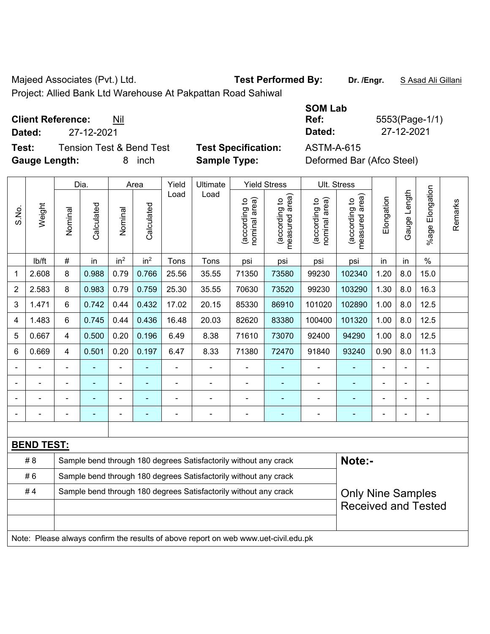Majeed Associates (Pvt.) Ltd. **Test Performed By:** Dr. /Engr. **SAsad Ali Gillani** 

Project: Allied Bank Ltd Warehouse At Pakpattan Road Sahiwal

**Test:** Tension Test & Bend Test **Test Specification:** ASTM-A-615 **Gauge Length:** 8 inch **Sample Type:** Deformed Bar (Afco Steel)

|             |                                 |                     | <b>SOM Lab</b> |                |
|-------------|---------------------------------|---------------------|----------------|----------------|
|             | <b>Client Reference:</b><br>Nil |                     | Ref:           | 5553(Page-1/1) |
| Dated:      | 27-12-2021                      |                     | Dated:         | 27-12-2021     |
| <b>TAAL</b> | Tensien Test & Dend Test        | Taat Cnaaifiaatianu | ACTMA A CAE    |                |

|                                                                        |                   |                | Dia.           |                 | Area            | Yield | Ultimate                                                                            |                                | <b>Yield Stress</b>             |                                | Ult. Stress                                 |                |              |                          |         |
|------------------------------------------------------------------------|-------------------|----------------|----------------|-----------------|-----------------|-------|-------------------------------------------------------------------------------------|--------------------------------|---------------------------------|--------------------------------|---------------------------------------------|----------------|--------------|--------------------------|---------|
| S.No.                                                                  | Weight            | Nominal        | Calculated     | Nominal         | Calculated      | Load  | Load                                                                                | nominal area)<br>(according to | (according to<br>measured area) | (according to<br>nominal area) | (according to<br>measured area)<br>measured | Elongation     | Gauge Length | Elongation<br>$%$ age    | Remarks |
|                                                                        | lb/ft             | #              | in             | in <sup>2</sup> | in <sup>2</sup> | Tons  | Tons                                                                                | psi                            | psi                             | psi                            | psi                                         | in             | in           | $\%$                     |         |
| 1                                                                      | 2.608             | 8              | 0.988          | 0.79            | 0.766           | 25.56 | 35.55                                                                               | 71350                          | 73580                           | 99230                          | 102340                                      | 1.20           | 8.0          | 15.0                     |         |
| $\overline{2}$                                                         | 2.583             | 8              | 0.983          | 0.79            | 0.759           | 25.30 | 35.55                                                                               | 70630                          | 73520                           | 99230                          | 103290                                      | 1.30           | 8.0          | 16.3                     |         |
| 3                                                                      | 1.471             | 6              | 0.742          | 0.44            | 0.432           | 17.02 | 20.15                                                                               | 85330                          | 86910                           | 101020                         | 102890                                      | 1.00           | 8.0          | 12.5                     |         |
| 4                                                                      | 1.483             | 6              | 0.745          | 0.44            | 0.436           | 16.48 | 20.03                                                                               | 82620                          | 83380                           | 100400                         | 101320                                      | 1.00           | 8.0          | 12.5                     |         |
| 5                                                                      | 0.667             | 4              | 0.500          | 0.20            | 0.196           | 6.49  | 8.38                                                                                | 71610                          | 73070                           | 92400                          | 94290                                       | 1.00           | 8.0          | 12.5                     |         |
| 6                                                                      | 0.669             | 4              | 0.501          | 0.20            | 0.197           | 6.47  | 8.33                                                                                | 71380                          | 72470                           | 91840                          | 93240                                       | 0.90           | 8.0          | 11.3                     |         |
| $\blacksquare$                                                         |                   | $\blacksquare$ | ä,             | ä,              |                 |       | $\blacksquare$                                                                      | ä,                             | ä,                              | $\blacksquare$                 | $\blacksquare$                              | $\blacksquare$ |              | ÷,                       |         |
| $\blacksquare$                                                         |                   | $\blacksquare$ | $\blacksquare$ |                 |                 |       |                                                                                     | L,                             |                                 | $\blacksquare$                 | $\blacksquare$                              | ÷              |              | $\blacksquare$           |         |
| $\blacksquare$                                                         |                   | $\blacksquare$ |                |                 |                 |       | ÷                                                                                   | Ē,                             |                                 |                                | $\blacksquare$                              | ä,             |              | $\blacksquare$           |         |
| $\blacksquare$                                                         |                   |                |                |                 |                 |       |                                                                                     |                                |                                 |                                |                                             |                |              | $\overline{\phantom{0}}$ |         |
|                                                                        |                   |                |                |                 |                 |       |                                                                                     |                                |                                 |                                |                                             |                |              |                          |         |
|                                                                        | <b>BEND TEST:</b> |                |                |                 |                 |       |                                                                                     |                                |                                 |                                |                                             |                |              |                          |         |
|                                                                        | # 8               |                |                |                 |                 |       | Sample bend through 180 degrees Satisfactorily without any crack                    |                                |                                 |                                | Note:-                                      |                |              |                          |         |
| #6<br>Sample bend through 180 degrees Satisfactorily without any crack |                   |                |                |                 |                 |       |                                                                                     |                                |                                 |                                |                                             |                |              |                          |         |
|                                                                        | #4                |                |                |                 |                 |       | Sample bend through 180 degrees Satisfactorily without any crack                    |                                |                                 |                                | <b>Only Nine Samples</b>                    |                |              |                          |         |
|                                                                        |                   |                |                |                 |                 |       |                                                                                     |                                |                                 | <b>Received and Tested</b>     |                                             |                |              |                          |         |
|                                                                        |                   |                |                |                 |                 |       |                                                                                     |                                |                                 |                                |                                             |                |              |                          |         |
|                                                                        |                   |                |                |                 |                 |       | Note: Please always confirm the results of above report on web www.uet-civil.edu.pk |                                |                                 |                                |                                             |                |              |                          |         |